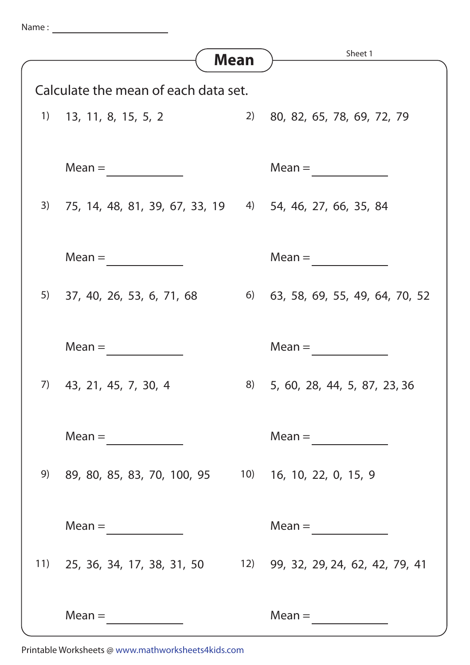| Name |  |  |
|------|--|--|
|      |  |  |
|      |  |  |

|                                      |                                                             | Mean | Sheet 1                            |  |
|--------------------------------------|-------------------------------------------------------------|------|------------------------------------|--|
|                                      |                                                             |      |                                    |  |
| Calculate the mean of each data set. |                                                             |      |                                    |  |
|                                      | $1)$ 13, 11, 8, 15, 5, 2                                    |      | 2) 80, 82, 65, 78, 69, 72, 79      |  |
|                                      |                                                             |      |                                    |  |
|                                      | $Mean =$                                                    |      | $Mean =$                           |  |
|                                      |                                                             |      |                                    |  |
|                                      | 3) 75, 14, 48, 81, 39, 67, 33, 19 4) 54, 46, 27, 66, 35, 84 |      |                                    |  |
|                                      |                                                             |      |                                    |  |
|                                      | $Mean =$                                                    |      | $Mean =$                           |  |
|                                      |                                                             |      |                                    |  |
|                                      | 5) 37, 40, 26, 53, 6, 71, 68                                |      | 6) 63, 58, 69, 55, 49, 64, 70, 52  |  |
|                                      |                                                             |      |                                    |  |
|                                      | $Mean =$                                                    |      | $Mean =$                           |  |
|                                      |                                                             |      |                                    |  |
| 7)                                   | 43, 21, 45, 7, 30, 4                                        |      | 8) 5, 60, 28, 44, 5, 87, 23, 36    |  |
|                                      |                                                             |      |                                    |  |
|                                      | $Mean = \qquad \qquad \qquad \qquad$                        |      | $Mean =$                           |  |
|                                      |                                                             |      |                                    |  |
| 9)                                   | 89, 80, 85, 83, 70, 100, 95 10) 16, 10, 22, 0, 15, 9        |      |                                    |  |
|                                      |                                                             |      |                                    |  |
|                                      | $Mean =$                                                    |      | $Mean =$                           |  |
| 11)                                  | 25, 36, 34, 17, 38, 31, 50                                  |      | 12) 99, 32, 29, 24, 62, 42, 79, 41 |  |
|                                      |                                                             |      |                                    |  |
|                                      |                                                             |      |                                    |  |
|                                      | $Mean =$                                                    |      | $Mean =$                           |  |